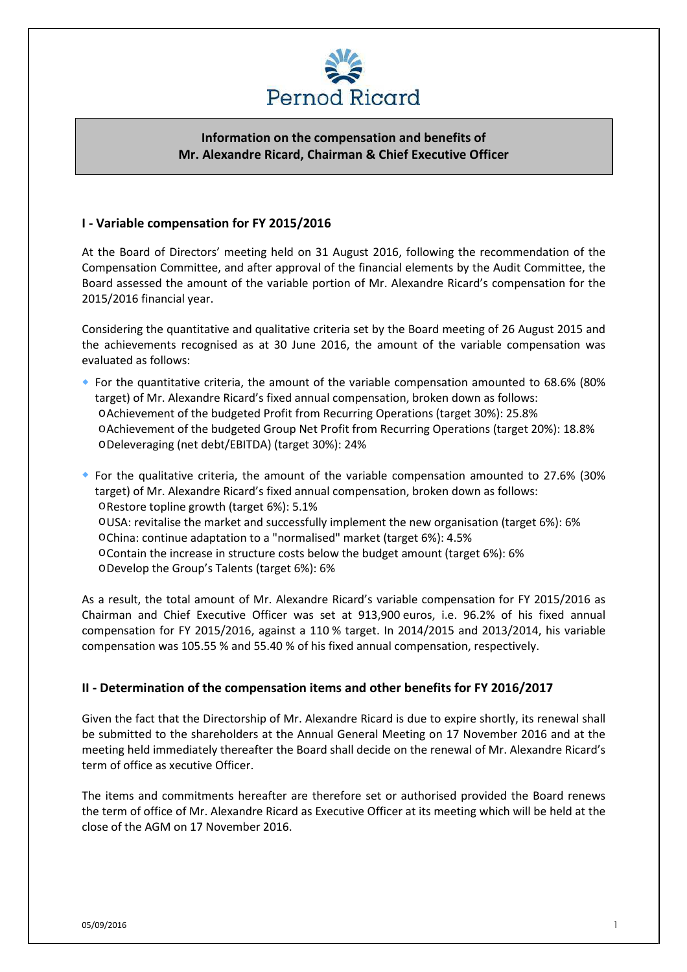

# **Information on the compensation and benefits of Mr. Alexandre Ricard, Chairman & Chief Executive Officer**

### **I - Variable compensation for FY 2015/2016**

At the Board of Directors' meeting held on 31 August 2016, following the recommendation of the Compensation Committee, and after approval of the financial elements by the Audit Committee, the Board assessed the amount of the variable portion of Mr. Alexandre Ricard's compensation for the 2015/2016 financial year.

Considering the quantitative and qualitative criteria set by the Board meeting of 26 August 2015 and the achievements recognised as at 30 June 2016, the amount of the variable compensation was evaluated as follows:

- For the quantitative criteria, the amount of the variable compensation amounted to 68.6% (80% target) of Mr. Alexandre Ricard's fixed annual compensation, broken down as follows: oAchievement of the budgeted Profit from Recurring Operations (target 30%): 25.8% oAchievement of the budgeted Group Net Profit from Recurring Operations (target 20%): 18.8% oDeleveraging (net debt/EBITDA) (target 30%): 24%
- For the qualitative criteria, the amount of the variable compensation amounted to 27.6% (30% target) of Mr. Alexandre Ricard's fixed annual compensation, broken down as follows: oRestore topline growth (target 6%): 5.1% oUSA: revitalise the market and successfully implement the new organisation (target 6%): 6% oChina: continue adaptation to a "normalised" market (target 6%): 4.5%
	- oContain the increase in structure costs below the budget amount (target 6%): 6%
	- oDevelop the Group's Talents (target 6%): 6%

As a result, the total amount of Mr. Alexandre Ricard's variable compensation for FY 2015/2016 as Chairman and Chief Executive Officer was set at 913,900 euros, i.e. 96.2% of his fixed annual compensation for FY 2015/2016, against a 110 % target. In 2014/2015 and 2013/2014, his variable compensation was 105.55 % and 55.40 % of his fixed annual compensation, respectively.

# **II - Determination of the compensation items and other benefits for FY 2016/2017**

Given the fact that the Directorship of Mr. Alexandre Ricard is due to expire shortly, its renewal shall be submitted to the shareholders at the Annual General Meeting on 17 November 2016 and at the meeting held immediately thereafter the Board shall decide on the renewal of Mr. Alexandre Ricard's term of office as xecutive Officer.

The items and commitments hereafter are therefore set or authorised provided the Board renews the term of office of Mr. Alexandre Ricard as Executive Officer at its meeting which will be held at the close of the AGM on 17 November 2016.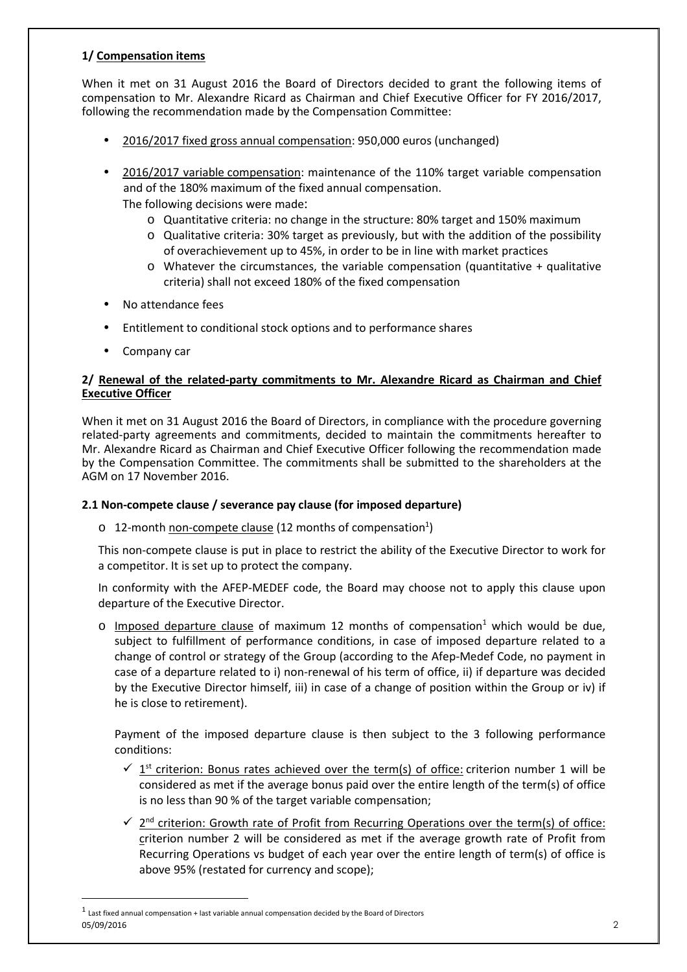# **1/ Compensation items**

When it met on 31 August 2016 the Board of Directors decided to grant the following items of compensation to Mr. Alexandre Ricard as Chairman and Chief Executive Officer for FY 2016/2017, following the recommendation made by the Compensation Committee:

- 2016/2017 fixed gross annual compensation: 950,000 euros (unchanged)
- 2016/2017 variable compensation: maintenance of the 110% target variable compensation and of the 180% maximum of the fixed annual compensation. The following decisions were made:
	- o Quantitative criteria: no change in the structure: 80% target and 150% maximum
	- o Qualitative criteria: 30% target as previously, but with the addition of the possibility of overachievement up to 45%, in order to be in line with market practices
	- $\circ$  Whatever the circumstances, the variable compensation (quantitative + qualitative criteria) shall not exceed 180% of the fixed compensation
- No attendance fees
- Entitlement to conditional stock options and to performance shares
- Company car

### **2/ Renewal of the related-party commitments to Mr. Alexandre Ricard as Chairman and Chief Executive Officer**

When it met on 31 August 2016 the Board of Directors, in compliance with the procedure governing related-party agreements and commitments, decided to maintain the commitments hereafter to Mr. Alexandre Ricard as Chairman and Chief Executive Officer following the recommendation made by the Compensation Committee. The commitments shall be submitted to the shareholders at the AGM on 17 November 2016.

#### **2.1 Non-compete clause / severance pay clause (for imposed departure)**

o 12-month non-compete clause (12 months of compensation<sup>1</sup>)

This non-compete clause is put in place to restrict the ability of the Executive Director to work for a competitor. It is set up to protect the company.

In conformity with the AFEP-MEDEF code, the Board may choose not to apply this clause upon departure of the Executive Director.

 $\circ$  Imposed departure clause of maximum 12 months of compensation<sup>1</sup> which would be due, subject to fulfillment of performance conditions, in case of imposed departure related to a change of control or strategy of the Group (according to the Afep-Medef Code, no payment in case of a departure related to i) non-renewal of his term of office, ii) if departure was decided by the Executive Director himself, iii) in case of a change of position within the Group or iv) if he is close to retirement).

Payment of the imposed departure clause is then subject to the 3 following performance conditions:

- $\checkmark$  1<sup>st</sup> criterion: Bonus rates achieved over the term(s) of office: criterion number 1 will be considered as met if the average bonus paid over the entire length of the term(s) of office is no less than 90 % of the target variable compensation;
- $\checkmark$  2<sup>nd</sup> criterion: Growth rate of Profit from Recurring Operations over the term(s) of office: criterion number 2 will be considered as met if the average growth rate of Profit from Recurring Operations vs budget of each year over the entire length of term(s) of office is above 95% (restated for currency and scope);

 $\overline{a}$ 

<sup>05/09/2016</sup> 2  $^1$  Last fixed annual compensation + last variable annual compensation decided by the Board of Directors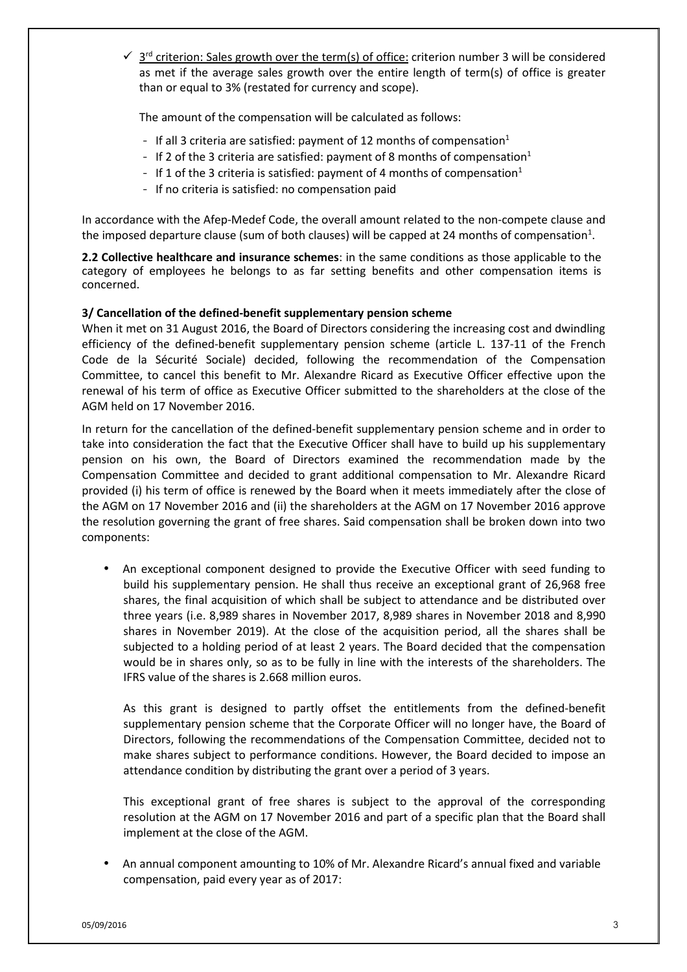$\checkmark$  3<sup>rd</sup> criterion: Sales growth over the term(s) of office: criterion number 3 will be considered as met if the average sales growth over the entire length of term(s) of office is greater than or equal to 3% (restated for currency and scope).

The amount of the compensation will be calculated as follows:

- If all 3 criteria are satisfied: payment of 12 months of compensation<sup>1</sup>
- If 2 of the 3 criteria are satisfied: payment of 8 months of compensation<sup>1</sup>
- If 1 of the 3 criteria is satisfied: payment of 4 months of compensation<sup>1</sup>
- If no criteria is satisfied: no compensation paid

In accordance with the Afep-Medef Code, the overall amount related to the non-compete clause and the imposed departure clause (sum of both clauses) will be capped at 24 months of compensation<sup>1</sup>.

**2.2 Collective healthcare and insurance schemes**: in the same conditions as those applicable to the category of employees he belongs to as far setting benefits and other compensation items is concerned.

#### **3/ Cancellation of the defined-benefit supplementary pension scheme**

When it met on 31 August 2016, the Board of Directors considering the increasing cost and dwindling efficiency of the defined-benefit supplementary pension scheme (article L. 137-11 of the French Code de la Sécurité Sociale) decided, following the recommendation of the Compensation Committee, to cancel this benefit to Mr. Alexandre Ricard as Executive Officer effective upon the renewal of his term of office as Executive Officer submitted to the shareholders at the close of the AGM held on 17 November 2016.

In return for the cancellation of the defined-benefit supplementary pension scheme and in order to take into consideration the fact that the Executive Officer shall have to build up his supplementary pension on his own, the Board of Directors examined the recommendation made by the Compensation Committee and decided to grant additional compensation to Mr. Alexandre Ricard provided (i) his term of office is renewed by the Board when it meets immediately after the close of the AGM on 17 November 2016 and (ii) the shareholders at the AGM on 17 November 2016 approve the resolution governing the grant of free shares. Said compensation shall be broken down into two components:

• An exceptional component designed to provide the Executive Officer with seed funding to build his supplementary pension. He shall thus receive an exceptional grant of 26,968 free shares, the final acquisition of which shall be subject to attendance and be distributed over three years (i.e. 8,989 shares in November 2017, 8,989 shares in November 2018 and 8,990 shares in November 2019). At the close of the acquisition period, all the shares shall be subjected to a holding period of at least 2 years. The Board decided that the compensation would be in shares only, so as to be fully in line with the interests of the shareholders. The IFRS value of the shares is 2.668 million euros.

As this grant is designed to partly offset the entitlements from the defined-benefit supplementary pension scheme that the Corporate Officer will no longer have, the Board of Directors, following the recommendations of the Compensation Committee, decided not to make shares subject to performance conditions. However, the Board decided to impose an attendance condition by distributing the grant over a period of 3 years.

This exceptional grant of free shares is subject to the approval of the corresponding resolution at the AGM on 17 November 2016 and part of a specific plan that the Board shall implement at the close of the AGM.

• An annual component amounting to 10% of Mr. Alexandre Ricard's annual fixed and variable compensation, paid every year as of 2017: